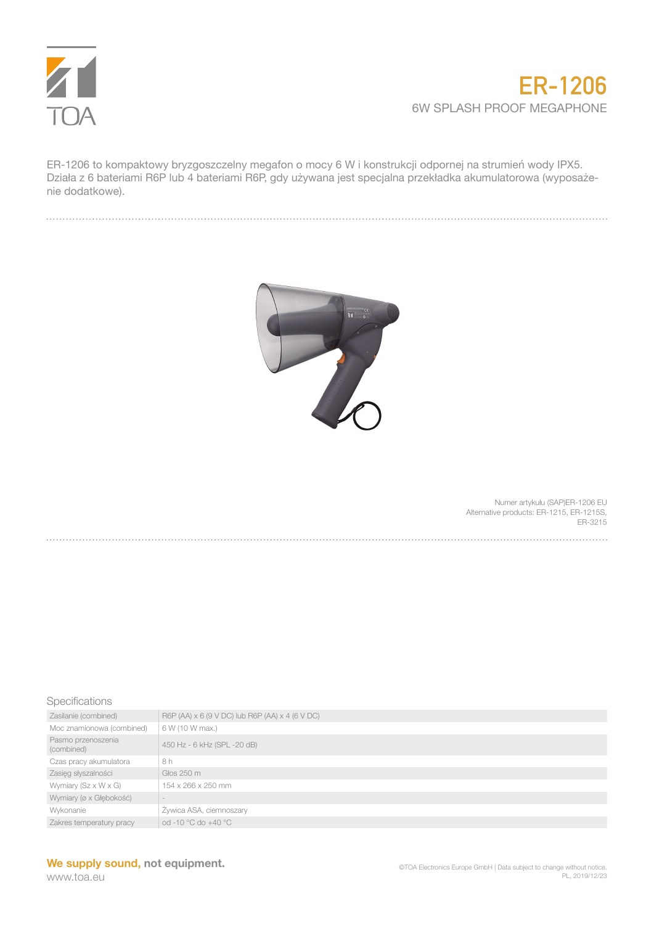

## **ER-1206** 6W SPLASH PROOF MEGAPHONE

ER-1206 to kompaktowy bryzgoszczelny megafon o mocy 6 W i konstrukcji odpornej na strumień wody IPX5. Działa z 6 bateriami R6P lub 4 bateriami R6P, gdy używana jest specjalna przekładka akumulatorowa (wyposażenie dodatkowe).



Numer artykułu (SAP)ER-1206 EU Alternative products: ER-1215, ER-1215S, ER-3215

## Specifications

| Zasilanie (combined)               | R6P (AA) x 6 (9 V DC) lub R6P (AA) x 4 (6 V DC) |
|------------------------------------|-------------------------------------------------|
| Moc znamionowa (combined)          | 6 W (10 W max.)                                 |
| Pasmo przenoszenia<br>(combined)   | 450 Hz - 6 kHz (SPL -20 dB)                     |
| Czas pracy akumulatora             | 8 h                                             |
| Zasięg słyszalności                | Głos 250 m                                      |
| Wymiary ( $Sz \times W \times G$ ) | 154 x 266 x 250 mm                              |
| Wymiary (ø x Głębokość)            |                                                 |
| Wykonanie                          | Żywica ASA, ciemnoszary                         |
| Zakres temperatury pracy           | od -10 °C do +40 °C                             |
|                                    |                                                 |

## **We supply sound, not equipment.**

www.toa.eu